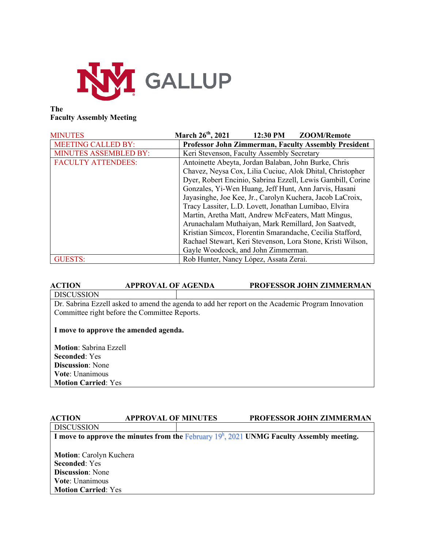

# **The Faculty Assembly Meeting**

| <b>MINUTES</b>               | March 26th, 2021<br>12:30 PM<br><b>ZOOM/Remote</b>          |  |  |  |
|------------------------------|-------------------------------------------------------------|--|--|--|
| <b>MEETING CALLED BY:</b>    | Professor John Zimmerman, Faculty Assembly President        |  |  |  |
| <b>MINUTES ASSEMBLED BY:</b> | Keri Stevenson, Faculty Assembly Secretary                  |  |  |  |
| <b>FACULTY ATTENDEES:</b>    | Antoinette Abeyta, Jordan Balaban, John Burke, Chris        |  |  |  |
|                              | Chavez, Neysa Cox, Lilia Cuciuc, Alok Dhital, Christopher   |  |  |  |
|                              | Dyer, Robert Encinio, Sabrina Ezzell, Lewis Gambill, Corine |  |  |  |
|                              | Gonzales, Yi-Wen Huang, Jeff Hunt, Ann Jarvis, Hasani       |  |  |  |
|                              | Jayasinghe, Joe Kee, Jr., Carolyn Kuchera, Jacob LaCroix,   |  |  |  |
|                              | Tracy Lassiter, L.D. Lovett, Jonathan Lumibao, Elvira       |  |  |  |
|                              | Martin, Aretha Matt, Andrew McFeaters, Matt Mingus,         |  |  |  |
|                              | Arunachalam Muthaiyan, Mark Remillard, Jon Saatvedt,        |  |  |  |
|                              | Kristian Simcox, Florentin Smarandache, Cecilia Stafford,   |  |  |  |
|                              | Rachael Stewart, Keri Stevenson, Lora Stone, Kristi Wilson, |  |  |  |
|                              | Gayle Woodcock, and John Zimmerman.                         |  |  |  |
| <b>GUESTS:</b>               | Rob Hunter, Nancy López, Assata Zerai.                      |  |  |  |

# **ACTION APPROVAL OF AGENDA PROFESSOR JOHN ZIMMERMAN** DISCUSSION

Dr. Sabrina Ezzell asked to amend the agenda to add her report on the Academic Program Innovation Committee right before the Committee Reports.

## **I move to approve the amended agenda.**

**Motion**: Sabrina Ezzell **Seconded**: Yes **Discussion**: None **Vote**: Unanimous **Motion Carried**: Yes

# **ACTION APPROVAL OF MINUTES PROFESSOR JOHN ZIMMERMAN DISCUSSION** I move to approve the minutes from the February 19<sup>h</sup>, 2021 UNMG Faculty Assembly meeting. **Motion**: Carolyn Kuchera **Seconded**: Yes **Discussion**: None **Vote**: Unanimous **Motion Carried**: Yes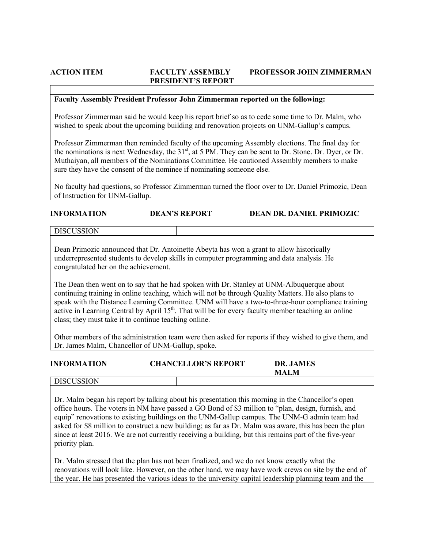# **ACTION ITEM FACULTY ASSEMBLY PROFESSOR JOHN ZIMMERMAN PRESIDENT'S REPORT**

## **Faculty Assembly President Professor John Zimmerman reported on the following:**

Professor Zimmerman said he would keep his report brief so as to cede some time to Dr. Malm, who wished to speak about the upcoming building and renovation projects on UNM-Gallup's campus.

Professor Zimmerman then reminded faculty of the upcoming Assembly elections. The final day for the nominations is next Wednesday, the 31<sup>st</sup>, at 5 PM. They can be sent to Dr. Stone. Dr. Dyer, or Dr. Muthaiyan, all members of the Nominations Committee. He cautioned Assembly members to make sure they have the consent of the nominee if nominating someone else.

No faculty had questions, so Professor Zimmerman turned the floor over to Dr. Daniel Primozic, Dean of Instruction for UNM-Gallup.

| <b>INFORMATION</b> | <b>DEAN'S REPORT</b> | <b>DEAN DR. DANIEL PRIMOZIC</b> |
|--------------------|----------------------|---------------------------------|
|                    |                      |                                 |

**DISCUSSION** 

Dean Primozic announced that Dr. Antoinette Abeyta has won a grant to allow historically underrepresented students to develop skills in computer programming and data analysis. He congratulated her on the achievement.

The Dean then went on to say that he had spoken with Dr. Stanley at UNM-Albuquerque about continuing training in online teaching, which will not be through Quality Matters. He also plans to speak with the Distance Learning Committee. UNM will have a two-to-three-hour compliance training active in Learning Central by April 15<sup>th</sup>. That will be for every faculty member teaching an online class; they must take it to continue teaching online.

Other members of the administration team were then asked for reports if they wished to give them, and Dr. James Malm, Chancellor of UNM-Gallup, spoke.

| <b>INFORMATION</b> | <b>CHANCELLOR'S REPORT</b> | <b>DR. JAMES</b><br><b>MALM</b> |  |
|--------------------|----------------------------|---------------------------------|--|
| <b>DISCUSSION</b>  |                            |                                 |  |

Dr. Malm began his report by talking about his presentation this morning in the Chancellor's open office hours. The voters in NM have passed a GO Bond of \$3 million to "plan, design, furnish, and equip" renovations to existing buildings on the UNM-Gallup campus. The UNM-G admin team had asked for \$8 million to construct a new building; as far as Dr. Malm was aware, this has been the plan since at least 2016. We are not currently receiving a building, but this remains part of the five-year priority plan.

Dr. Malm stressed that the plan has not been finalized, and we do not know exactly what the renovations will look like. However, on the other hand, we may have work crews on site by the end of the year. He has presented the various ideas to the university capital leadership planning team and the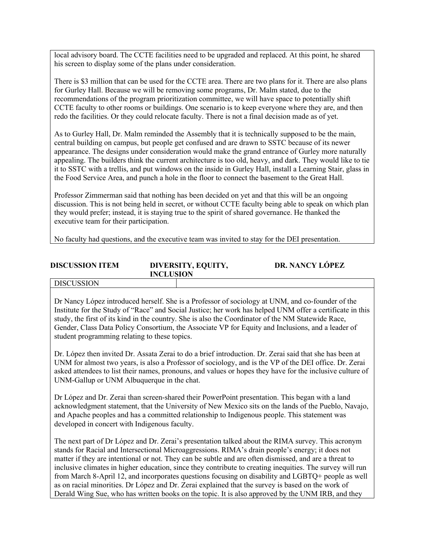local advisory board. The CCTE facilities need to be upgraded and replaced. At this point, he shared his screen to display some of the plans under consideration.

There is \$3 million that can be used for the CCTE area. There are two plans for it. There are also plans for Gurley Hall. Because we will be removing some programs, Dr. Malm stated, due to the recommendations of the program prioritization committee, we will have space to potentially shift CCTE faculty to other rooms or buildings. One scenario is to keep everyone where they are, and then redo the facilities. Or they could relocate faculty. There is not a final decision made as of yet.

As to Gurley Hall, Dr. Malm reminded the Assembly that it is technically supposed to be the main, central building on campus, but people get confused and are drawn to SSTC because of its newer appearance. The designs under consideration would make the grand entrance of Gurley more naturally appealing. The builders think the current architecture is too old, heavy, and dark. They would like to tie it to SSTC with a trellis, and put windows on the inside in Gurley Hall, install a Learning Stair, glass in the Food Service Area, and punch a hole in the floor to connect the basement to the Great Hall.

Professor Zimmerman said that nothing has been decided on yet and that this will be an ongoing discussion. This is not being held in secret, or without CCTE faculty being able to speak on which plan they would prefer; instead, it is staying true to the spirit of shared governance. He thanked the executive team for their participation.

No faculty had questions, and the executive team was invited to stay for the DEI presentation.

| <b>DISCUSSION ITEM</b> | DIVERSITY, EQUITY,<br><b>INCLUSION</b> | DR. NANCY LÓPEZ |
|------------------------|----------------------------------------|-----------------|
| l discussion           |                                        |                 |

# Dr Nancy López introduced herself. She is a Professor of sociology at UNM, and co-founder of the Institute for the Study of "Race" and Social Justice; her work has helped UNM offer a certificate in this study, the first of its kind in the country. She is also the Coordinator of the NM Statewide Race, Gender, Class Data Policy Consortium, the Associate VP for Equity and Inclusions, and a leader of student programming relating to these topics.

Dr. López then invited Dr. Assata Zerai to do a brief introduction. Dr. Zerai said that she has been at UNM for almost two years, is also a Professor of sociology, and is the VP of the DEI office. Dr. Zerai asked attendees to list their names, pronouns, and values or hopes they have for the inclusive culture of UNM-Gallup or UNM Albuquerque in the chat.

Dr López and Dr. Zerai than screen-shared their PowerPoint presentation. This began with a land acknowledgment statement, that the University of New Mexico sits on the lands of the Pueblo, Navajo, and Apache peoples and has a committed relationship to Indigenous people. This statement was developed in concert with Indigenous faculty.

The next part of Dr López and Dr. Zerai's presentation talked about the RIMA survey. This acronym stands for Racial and Intersectional Microaggressions. RIMA's drain people's energy; it does not matter if they are intentional or not. They can be subtle and are often dismissed, and are a threat to inclusive climates in higher education, since they contribute to creating inequities. The survey will run from March 8-April 12, and incorporates questions focusing on disability and LGBTQ+ people as well as on racial minorities. Dr López and Dr. Zerai explained that the survey is based on the work of Derald Wing Sue, who has written books on the topic. It is also approved by the UNM IRB, and they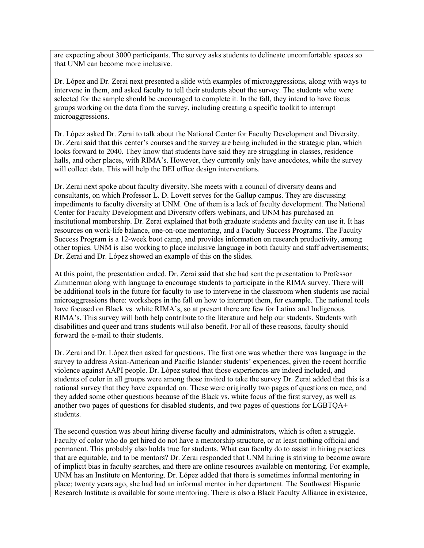are expecting about 3000 participants. The survey asks students to delineate uncomfortable spaces so that UNM can become more inclusive.

Dr. López and Dr. Zerai next presented a slide with examples of microaggressions, along with ways to intervene in them, and asked faculty to tell their students about the survey. The students who were selected for the sample should be encouraged to complete it. In the fall, they intend to have focus groups working on the data from the survey, including creating a specific toolkit to interrupt microaggressions.

Dr. López asked Dr. Zerai to talk about the National Center for Faculty Development and Diversity. Dr. Zerai said that this center's courses and the survey are being included in the strategic plan, which looks forward to 2040. They know that students have said they are struggling in classes, residence halls, and other places, with RIMA's. However, they currently only have anecdotes, while the survey will collect data. This will help the DEI office design interventions.

Dr. Zerai next spoke about faculty diversity. She meets with a council of diversity deans and consultants, on which Professor L. D. Lovett serves for the Gallup campus. They are discussing impediments to faculty diversity at UNM. One of them is a lack of faculty development. The National Center for Faculty Development and Diversity offers webinars, and UNM has purchased an institutional membership. Dr. Zerai explained that both graduate students and faculty can use it. It has resources on work-life balance, one-on-one mentoring, and a Faculty Success Programs. The Faculty Success Program is a 12-week boot camp, and provides information on research productivity, among other topics. UNM is also working to place inclusive language in both faculty and staff advertisements; Dr. Zerai and Dr. López showed an example of this on the slides.

At this point, the presentation ended. Dr. Zerai said that she had sent the presentation to Professor Zimmerman along with language to encourage students to participate in the RIMA survey. There will be additional tools in the future for faculty to use to intervene in the classroom when students use racial microaggressions there: workshops in the fall on how to interrupt them, for example. The national tools have focused on Black vs. white RIMA's, so at present there are few for Latinx and Indigenous RIMA's. This survey will both help contribute to the literature and help our students. Students with disabilities and queer and trans students will also benefit. For all of these reasons, faculty should forward the e-mail to their students.

Dr. Zerai and Dr. López then asked for questions. The first one was whether there was language in the survey to address Asian-American and Pacific Islander students' experiences, given the recent horrific violence against AAPI people. Dr. López stated that those experiences are indeed included, and students of color in all groups were among those invited to take the survey Dr. Zerai added that this is a national survey that they have expanded on. These were originally two pages of questions on race, and they added some other questions because of the Black vs. white focus of the first survey, as well as another two pages of questions for disabled students, and two pages of questions for LGBTQA+ students.

The second question was about hiring diverse faculty and administrators, which is often a struggle. Faculty of color who do get hired do not have a mentorship structure, or at least nothing official and permanent. This probably also holds true for students. What can faculty do to assist in hiring practices that are equitable, and to be mentors? Dr. Zerai responded that UNM hiring is striving to become aware of implicit bias in faculty searches, and there are online resources available on mentoring. For example, UNM has an Institute on Mentoring. Dr. López added that there is sometimes informal mentoring in place; twenty years ago, she had had an informal mentor in her department. The Southwest Hispanic Research Institute is available for some mentoring. There is also a Black Faculty Alliance in existence,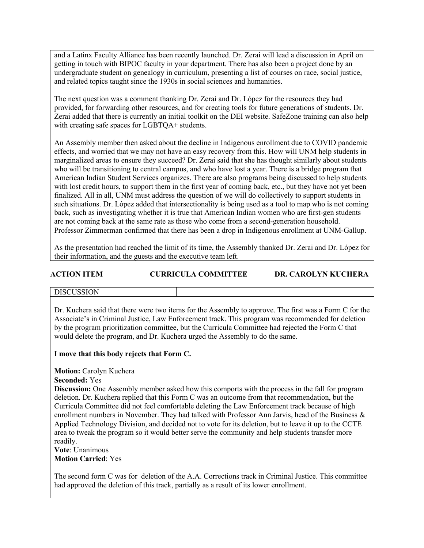and a Latinx Faculty Alliance has been recently launched. Dr. Zerai will lead a discussion in April on getting in touch with BIPOC faculty in your department. There has also been a project done by an undergraduate student on genealogy in curriculum, presenting a list of courses on race, social justice, and related topics taught since the 1930s in social sciences and humanities.

The next question was a comment thanking Dr. Zerai and Dr. López for the resources they had provided, for forwarding other resources, and for creating tools for future generations of students. Dr. Zerai added that there is currently an initial toolkit on the DEI website. SafeZone training can also help with creating safe spaces for LGBTQA+ students.

An Assembly member then asked about the decline in Indigenous enrollment due to COVID pandemic effects, and worried that we may not have an easy recovery from this. How will UNM help students in marginalized areas to ensure they succeed? Dr. Zerai said that she has thought similarly about students who will be transitioning to central campus, and who have lost a year. There is a bridge program that American Indian Student Services organizes. There are also programs being discussed to help students with lost credit hours, to support them in the first year of coming back, etc., but they have not yet been finalized. All in all, UNM must address the question of we will do collectively to support students in such situations. Dr. López added that intersectionality is being used as a tool to map who is not coming back, such as investigating whether it is true that American Indian women who are first-gen students are not coming back at the same rate as those who come from a second-generation household. Professor Zimmerman confirmed that there has been a drop in Indigenous enrollment at UNM-Gallup.

As the presentation had reached the limit of its time, the Assembly thanked Dr. Zerai and Dr. López for their information, and the guests and the executive team left.

### **ACTION ITEM CURRICULA COMMITTEE DR. CAROLYN KUCHERA**

### DISCUSSION

Dr. Kuchera said that there were two items for the Assembly to approve. The first was a Form C for the Associate's in Criminal Justice, Law Enforcement track. This program was recommended for deletion by the program prioritization committee, but the Curricula Committee had rejected the Form C that would delete the program, and Dr. Kuchera urged the Assembly to do the same.

### **I move that this body rejects that Form C.**

**Motion: Carolyn Kuchera** 

**Seconded:** Yes

**Discussion:** One Assembly member asked how this comports with the process in the fall for program deletion. Dr. Kuchera replied that this Form C was an outcome from that recommendation, but the Curricula Committee did not feel comfortable deleting the Law Enforcement track because of high enrollment numbers in November. They had talked with Professor Ann Jarvis, head of the Business & Applied Technology Division, and decided not to vote for its deletion, but to leave it up to the CCTE area to tweak the program so it would better serve the community and help students transfer more readily.

**Vote**: Unanimous **Motion Carried**: Yes

The second form C was for deletion of the A.A. Corrections track in Criminal Justice. This committee had approved the deletion of this track, partially as a result of its lower enrollment.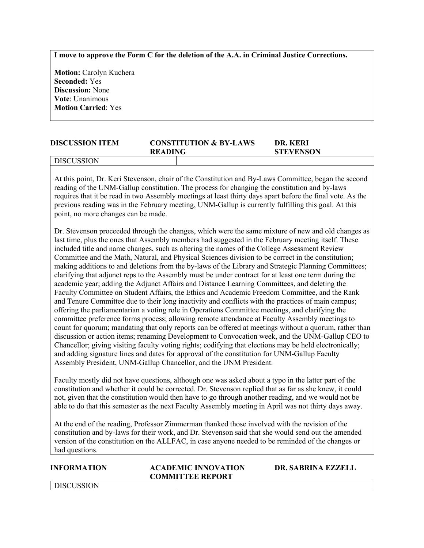**I move to approve the Form C for the deletion of the A.A. in Criminal Justice Corrections.**

**Motion: Carolyn Kuchera Seconded:** Yes **Discussion:** None **Vote**: Unanimous **Motion Carried**: Yes

| <b>DISCUSSION ITEM</b> | <b>CONSTITUTION &amp; BY-LAWS</b> | DR. KERI         |
|------------------------|-----------------------------------|------------------|
|                        | <b>READING</b>                    | <b>STEVENSON</b> |
|                        |                                   |                  |

### DISCUSSION

At this point, Dr. Keri Stevenson, chair of the Constitution and By-Laws Committee, began the second reading of the UNM-Gallup constitution. The process for changing the constitution and by-laws requires that it be read in two Assembly meetings at least thirty days apart before the final vote. As the previous reading was in the February meeting, UNM-Gallup is currently fulfilling this goal. At this point, no more changes can be made.

Dr. Stevenson proceeded through the changes, which were the same mixture of new and old changes as last time, plus the ones that Assembly members had suggested in the February meeting itself. These included title and name changes, such as altering the names of the College Assessment Review Committee and the Math, Natural, and Physical Sciences division to be correct in the constitution; making additions to and deletions from the by-laws of the Library and Strategic Planning Committees; clarifying that adjunct reps to the Assembly must be under contract for at least one term during the academic year; adding the Adjunct Affairs and Distance Learning Committees, and deleting the Faculty Committee on Student Affairs, the Ethics and Academic Freedom Committee, and the Rank and Tenure Committee due to their long inactivity and conflicts with the practices of main campus; offering the parliamentarian a voting role in Operations Committee meetings, and clarifying the committee preference forms process; allowing remote attendance at Faculty Assembly meetings to count for quorum; mandating that only reports can be offered at meetings without a quorum, rather than discussion or action items; renaming Development to Convocation week, and the UNM-Gallup CEO to Chancellor; giving visiting faculty voting rights; codifying that elections may be held electronically; and adding signature lines and dates for approval of the constitution for UNM-Gallup Faculty Assembly President, UNM-Gallup Chancellor, and the UNM President.

Faculty mostly did not have questions, although one was asked about a typo in the latter part of the constitution and whether it could be corrected. Dr. Stevenson replied that as far as she knew, it could not, given that the constitution would then have to go through another reading, and we would not be able to do that this semester as the next Faculty Assembly meeting in April was not thirty days away.

At the end of the reading, Professor Zimmerman thanked those involved with the revision of the constitution and by-laws for their work, and Dr. Stevenson said that she would send out the amended version of the constitution on the ALLFAC, in case anyone needed to be reminded of the changes or had questions.

| <b>INFORMATION</b> | <b>ACADEMIC INNOVATION</b><br><b>COMMITTEE REPORT</b> | DR. SABRINA EZZELL |
|--------------------|-------------------------------------------------------|--------------------|
| I DISCUSSION       |                                                       |                    |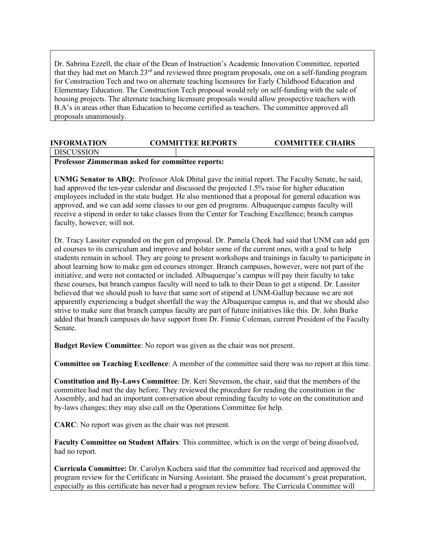Dr. Sabrina Ezzell, the chair of the Dean of Instruction's Academic Innovation Committee, reported that they had met on March 23rd and reviewed three program proposals, one on a self-funding program for Construction Tech and two on alternate teaching licensures for Early Childhood Education and Elementary Education. The Construction Tech proposal would rely on self-funding with the sale of housing projects. The alternate teaching licensure proposals would allow prospective teachers with B.A's in areas other than Education to become certified as teachers. The committee approved all proposals unanimously.

# **INFORMATION COMMITTEE REPORTS COMMITTEE CHAIRS**

# **DISCUSSION**

# **Professor Zimmerman asked for committee reports:**

**UNMG Senator to ABQ:**. Professor Alok Dhital gave the initial report. The Faculty Senate, he said, had approved the ten-year calendar and discussed the projected 1.5% raise for higher education employees included in the state budget. He also mentioned that a proposal for general education was approved, and we can add some classes to our gen ed programs. Albuquerque campus faculty will receive a stipend in order to take classes from the Center for Teaching Excellence; branch campus faculty, however, will not.

Dr. Tracy Lassiter expanded on the gen ed proposal. Dr. Pamela Cheek had said that UNM can add gen ed courses to its curriculum and improve and bolster some of the current ones, with a goal to help students remain in school. They are going to present workshops and trainings in faculty to participate in about learning how to make gen ed courses stronger. Branch campuses, however, were not part of the initiative, and were not contacted or included. Albuquerque's campus will pay their faculty to take these courses, but branch campus faculty will need to talk to their Dean to get a stipend. Dr. Lassiter believed that we should push to have that same sort of stipend at UNM-Gallup because we are not apparently experiencing a budget shortfall the way the Albuquerque campus is, and that we should also strive to make sure that branch campus faculty are part of future initiatives like this. Dr. John Burke added that branch campuses do have support from Dr. Finnie Coleman, current President of the Faculty Senate.

**Budget Review Committee**: No report was given as the chair was not present.

**Committee on Teaching Excellence**: A member of the committee said there was no report at this time.

**Constitution and By-Laws Committee**: Dr. Keri Stevenson, the chair, said that the members of the committee had met the day before. They reviewed the procedure for reading the constitution in the Assembly, and had an important conversation about reminding faculty to vote on the constitution and by-laws changes; they may also call on the Operations Committee for help.

**CARC**: No report was given as the chair was not present.

**Faculty Committee on Student Affairs**: This committee, which is on the verge of being dissolved, had no report.

**Curricula Committee:** Dr. Carolyn Kuchera said that the committee had received and approved the program review for the Certificate in Nursing Assistant. She praised the document's great preparation, especially as this certificate has never had a program review before. The Curricula Committee will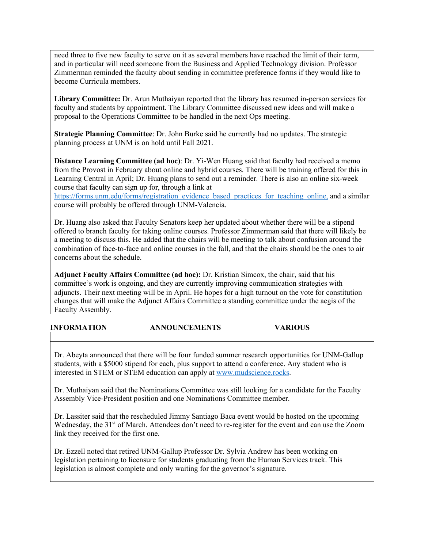need three to five new faculty to serve on it as several members have reached the limit of their term, and in particular will need someone from the Business and Applied Technology division. Professor Zimmerman reminded the faculty about sending in committee preference forms if they would like to become Curricula members.

**Library Committee:** Dr. Arun Muthaiyan reported that the library has resumed in-person services for faculty and students by appointment. The Library Committee discussed new ideas and will make a proposal to the Operations Committee to be handled in the next Ops meeting.

**Strategic Planning Committee**: Dr. John Burke said he currently had no updates. The strategic planning process at UNM is on hold until Fall 2021.

**Distance Learning Committee (ad hoc)**: Dr. Yi-Wen Huang said that faculty had received a memo from the Provost in February about online and hybrid courses. There will be training offered for this in Learning Central in April; Dr. Huang plans to send out a reminder. There is also an online six-week course that faculty can sign up for, through a link at

https://forms.unm.edu/forms/registration\_evidence\_based\_practices\_for\_teaching\_online, and a similar course will probably be offered through UNM-Valencia.

Dr. Huang also asked that Faculty Senators keep her updated about whether there will be a stipend offered to branch faculty for taking online courses. Professor Zimmerman said that there will likely be a meeting to discuss this. He added that the chairs will be meeting to talk about confusion around the combination of face-to-face and online courses in the fall, and that the chairs should be the ones to air concerns about the schedule.

**Adjunct Faculty Affairs Committee (ad hoc):** Dr. Kristian Simcox, the chair, said that his committee's work is ongoing, and they are currently improving communication strategies with adjuncts. Their next meeting will be in April. He hopes for a high turnout on the vote for constitution changes that will make the Adjunct Affairs Committee a standing committee under the aegis of the Faculty Assembly.

| <b>INFORMATION</b> | <b>ANNOUNCEMENTS</b> | <b>VARIOUS</b> |  |
|--------------------|----------------------|----------------|--|
|                    |                      |                |  |

Dr. Abeyta announced that there will be four funded summer research opportunities for UNM-Gallup students, with a \$5000 stipend for each, plus support to attend a conference. Any student who is interested in STEM or STEM education can apply at www.mudscience.rocks.

Dr. Muthaiyan said that the Nominations Committee was still looking for a candidate for the Faculty Assembly Vice-President position and one Nominations Committee member.

Dr. Lassiter said that the rescheduled Jimmy Santiago Baca event would be hosted on the upcoming Wednesday, the 31<sup>st</sup> of March. Attendees don't need to re-register for the event and can use the Zoom link they received for the first one.

Dr. Ezzell noted that retired UNM-Gallup Professor Dr. Sylvia Andrew has been working on legislation pertaining to licensure for students graduating from the Human Services track. This legislation is almost complete and only waiting for the governor's signature.